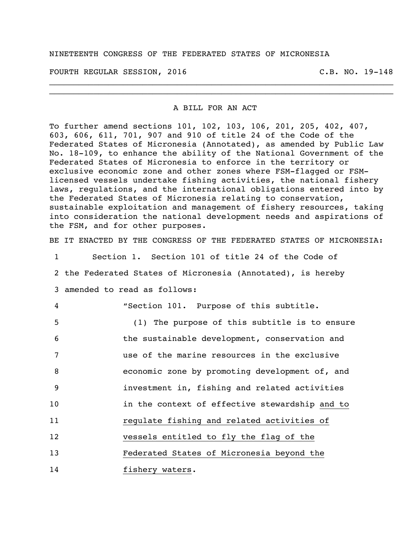#### NINETEENTH CONGRESS OF THE FEDERATED STATES OF MICRONESIA

FOURTH REGULAR SESSION, 2016 C.B. NO. 19-148

#### A BILL FOR AN ACT

\_\_\_\_\_\_\_\_\_\_\_\_\_\_\_\_\_\_\_\_\_\_\_\_\_\_\_\_\_\_\_\_\_\_\_\_\_\_\_\_\_\_\_\_\_\_\_\_\_\_\_\_\_\_\_\_\_\_\_\_\_\_\_\_\_\_\_\_\_\_ \_\_\_\_\_\_\_\_\_\_\_\_\_\_\_\_\_\_\_\_\_\_\_\_\_\_\_\_\_\_\_\_\_\_\_\_\_\_\_\_\_\_\_\_\_\_\_\_\_\_\_\_\_\_\_\_\_\_\_\_\_\_\_\_\_\_\_\_\_\_

To further amend sections 101, 102, 103, 106, 201, 205, 402, 407, 603, 606, 611, 701, 907 and 910 of title 24 of the Code of the Federated States of Micronesia (Annotated), as amended by Public Law No. 18-109, to enhance the ability of the National Government of the Federated States of Micronesia to enforce in the territory or exclusive economic zone and other zones where FSM-flagged or FSMlicensed vessels undertake fishing activities, the national fishery laws, regulations, and the international obligations entered into by the Federated States of Micronesia relating to conservation, sustainable exploitation and management of fishery resources, taking into consideration the national development needs and aspirations of the FSM, and for other purposes.

BE IT ENACTED BY THE CONGRESS OF THE FEDERATED STATES OF MICRONESIA:

| $\mathbf{1}$    | Section 1. Section 101 of title 24 of the Code of           |
|-----------------|-------------------------------------------------------------|
|                 | 2 the Federated States of Micronesia (Annotated), is hereby |
|                 | 3 amended to read as follows:                               |
| 4               | "Section 101. Purpose of this subtitle.                     |
| 5               | (1) The purpose of this subtitle is to ensure               |
| 6               | the sustainable development, conservation and               |
| 7               | use of the marine resources in the exclusive                |
| 8               | economic zone by promoting development of, and              |
| 9               | investment in, fishing and related activities               |
| 10 <sub>1</sub> | in the context of effective stewardship and to              |
| 11              | regulate fishing and related activities of                  |
| 12              | vessels entitled to fly the flag of the                     |
| 13              | Federated States of Micronesia beyond the                   |
| 14              | fishery waters.                                             |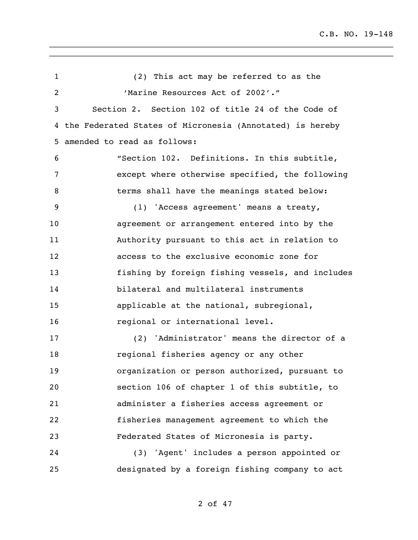(2) This act may be referred to as the 'Marine Resources Act of 2002'." Section 2. Section 102 of title 24 of the Code of the Federated States of Micronesia (Annotated) is hereby amended to read as follows: "Section 102. Definitions. In this subtitle, except where otherwise specified, the following 8 terms shall have the meanings stated below: (1) 'Access agreement' means a treaty, agreement or arrangement entered into by the Authority pursuant to this act in relation to access to the exclusive economic zone for fishing by foreign fishing vessels, and includes bilateral and multilateral instruments applicable at the national, subregional, regional or international level. (2) 'Administrator' means the director of a regional fisheries agency or any other organization or person authorized, pursuant to section 106 of chapter 1 of this subtitle, to administer a fisheries access agreement or fisheries management agreement to which the Federated States of Micronesia is party. (3) 'Agent' includes a person appointed or designated by a foreign fishing company to act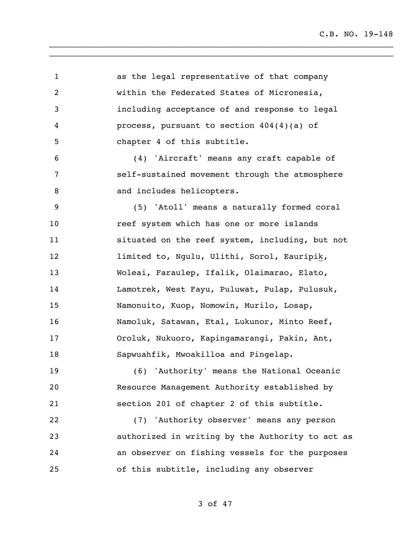as the legal representative of that company within the Federated States of Micronesia, including acceptance of and response to legal process, pursuant to section 404(4)(a) of chapter 4 of this subtitle. (4) 'Aircraft' means any craft capable of self-sustained movement through the atmosphere 8 and includes helicopters. (5) 'Atoll' means a naturally formed coral **10** reef system which has one or more islands 11 situated on the reef system, including, but not limited to, Ngulu, Ulithi, Sorol, Eauripik, Woleai, Faraulep, Ifalik, Olaimarao, Elato, Lamotrek, West Fayu, Puluwat, Pulap, Pulusuk, Namonuito, Kuop, Nomowin, Murilo, Losap, Namoluk, Satawan, Etal, Lukunor, Minto Reef, Oroluk, Nukuoro, Kapingamarangi, Pakin, Ant, Sapwuahfik, Mwoakilloa and Pingelap. (6) 'Authority' means the National Oceanic Resource Management Authority established by section 201 of chapter 2 of this subtitle. (7) 'Authority observer' means any person authorized in writing by the Authority to act as an observer on fishing vessels for the purposes of this subtitle, including any observer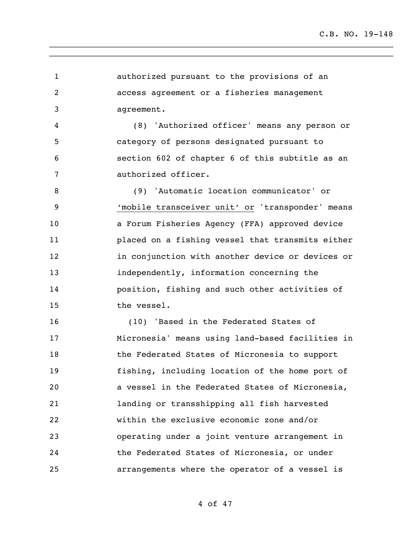authorized pursuant to the provisions of an access agreement or a fisheries management agreement. (8) 'Authorized officer' means any person or category of persons designated pursuant to section 602 of chapter 6 of this subtitle as an authorized officer. (9) 'Automatic location communicator' or 'mobile transceiver unit' or 'transponder' means a Forum Fisheries Agency (FFA) approved device placed on a fishing vessel that transmits either in conjunction with another device or devices or independently, information concerning the position, fishing and such other activities of the vessel. (10) 'Based in the Federated States of Micronesia' means using land-based facilities in the Federated States of Micronesia to support fishing, including location of the home port of a vessel in the Federated States of Micronesia, landing or transshipping all fish harvested within the exclusive economic zone and/or operating under a joint venture arrangement in the Federated States of Micronesia, or under arrangements where the operator of a vessel is

\_\_\_\_\_\_\_\_\_\_\_\_\_\_\_\_\_\_\_\_\_\_\_\_\_\_\_\_\_\_\_\_\_\_\_\_\_\_\_\_\_\_\_\_\_\_\_\_\_\_\_\_\_\_\_\_\_\_\_\_\_\_\_\_\_\_\_\_\_\_ \_\_\_\_\_\_\_\_\_\_\_\_\_\_\_\_\_\_\_\_\_\_\_\_\_\_\_\_\_\_\_\_\_\_\_\_\_\_\_\_\_\_\_\_\_\_\_\_\_\_\_\_\_\_\_\_\_\_\_\_\_\_\_\_\_\_\_\_\_\_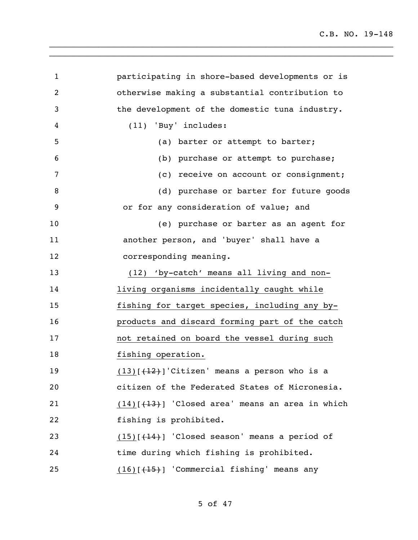participating in shore-based developments or is otherwise making a substantial contribution to the development of the domestic tuna industry. (11) 'Buy' includes: (a) barter or attempt to barter; (b) purchase or attempt to purchase; (c) receive on account or consignment; (d) purchase or barter for future goods or for any consideration of value; and (e) purchase or barter as an agent for another person, and 'buyer' shall have a corresponding meaning. (12) 'by-catch' means all living and non- living organisms incidentally caught while fishing for target species, including any by-**products** and discard forming part of the catch not retained on board the vessel during such 18 fishing operation.  $(13)[(12)]$ 'Citizen' means a person who is a citizen of the Federated States of Micronesia. 21 (14) $\left(\frac{13}{13}\right)$  'Closed area' means an area in which fishing is prohibited.  $(15)[(14)]$  'Closed season' means a period of time during which fishing is prohibited. 25 (16)[(15)] 'Commercial fishing' means any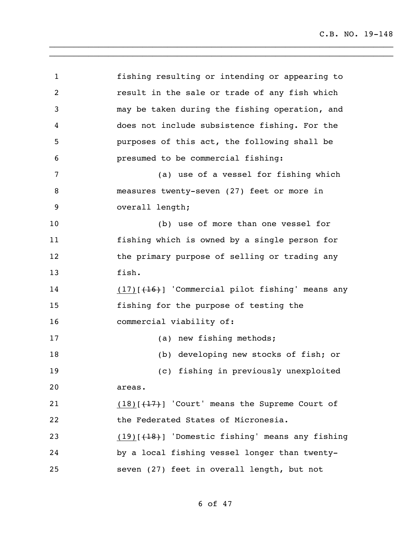fishing resulting or intending or appearing to result in the sale or trade of any fish which may be taken during the fishing operation, and does not include subsistence fishing. For the purposes of this act, the following shall be presumed to be commercial fishing: (a) use of a vessel for fishing which measures twenty-seven (27) feet or more in overall length; (b) use of more than one vessel for fishing which is owned by a single person for 12 the primary purpose of selling or trading any fish. 14 (17) [(16)] 'Commercial pilot fishing' means any fishing for the purpose of testing the commercial viability of: 17 (a) new fishing methods; (b) developing new stocks of fish; or (c) fishing in previously unexploited areas. 21 (18) $\left[\frac{17}{17}\right]$  'Court' means the Supreme Court of 22 the Federated States of Micronesia. (19)[(18)] 'Domestic fishing' means any fishing by a local fishing vessel longer than twenty-seven (27) feet in overall length, but not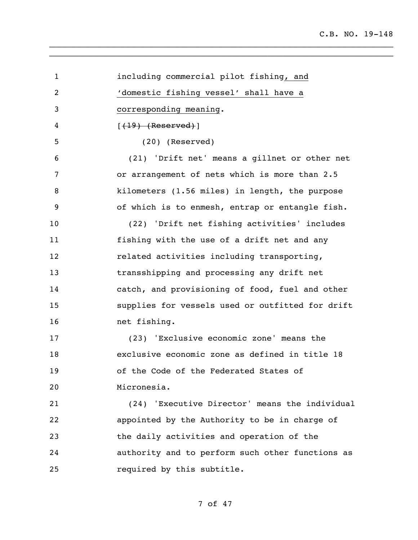| $\mathbf 1$    | including commercial pilot fishing, and          |
|----------------|--------------------------------------------------|
| $\overline{2}$ | 'domestic fishing vessel' shall have a           |
| 3              | corresponding meaning.                           |
| 4              | $[$ $(19)$ $($ Reserved $)$ ]                    |
| 5              | (20) (Reserved)                                  |
| 6              | (21) 'Drift net' means a gillnet or other net    |
| 7              | or arrangement of nets which is more than 2.5    |
| 8              | kilometers (1.56 miles) in length, the purpose   |
| 9              | of which is to enmesh, entrap or entangle fish.  |
| 10             | (22) 'Drift net fishing activities' includes     |
| 11             | fishing with the use of a drift net and any      |
| 12             | related activities including transporting,       |
| 13             | transshipping and processing any drift net       |
| 14             | catch, and provisioning of food, fuel and other  |
| 15             | supplies for vessels used or outfitted for drift |
| 16             | net fishing.                                     |
| 17             | (23) 'Exclusive economic zone' means the         |
| 18             | exclusive economic zone as defined in title 18   |
| 19             | of the Code of the Federated States of           |
| 20             | Micronesia.                                      |
| 21             | (24) 'Executive Director' means the individual   |
| 22             | appointed by the Authority to be in charge of    |
| 23             | the daily activities and operation of the        |
| 24             | authority and to perform such other functions as |
| 25             | required by this subtitle.                       |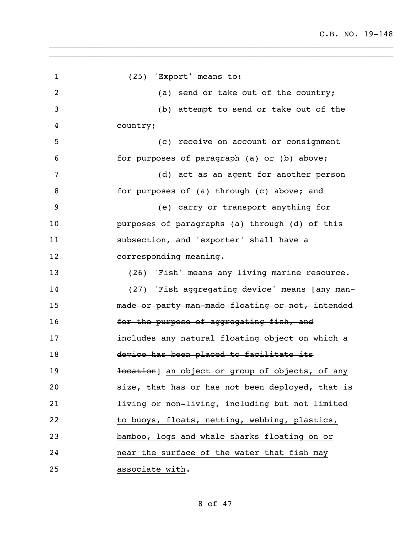1 (25) 'Export' means to: 2 (a) send or take out of the country; (b) attempt to send or take out of the country; (c) receive on account or consignment for purposes of paragraph (a) or (b) above; (d) act as an agent for another person 8 for purposes of (a) through (c) above; and (e) carry or transport anything for purposes of paragraphs (a) through (d) of this subsection, and 'exporter' shall have a corresponding meaning. (26) 'Fish' means any living marine resource. 14 (27) 'Fish aggregating device' means [any man- made or party man-made floating or not, intended **for the purpose of aggregating fish, and includes any natural floating object on which a**  device has been placed to facilitate its **location**] an object or group of objects, of any size, that has or has not been deployed, that is living or non-living, including but not limited to buoys, floats, netting, webbing, plastics, bamboo, logs and whale sharks floating on or 24 near the surface of the water that fish may associate with.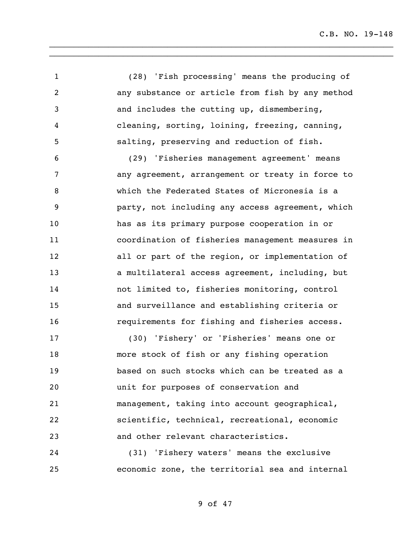(28) 'Fish processing' means the producing of any substance or article from fish by any method and includes the cutting up, dismembering, cleaning, sorting, loining, freezing, canning, salting, preserving and reduction of fish. (29) 'Fisheries management agreement' means any agreement, arrangement or treaty in force to which the Federated States of Micronesia is a party, not including any access agreement, which has as its primary purpose cooperation in or coordination of fisheries management measures in all or part of the region, or implementation of a multilateral access agreement, including, but not limited to, fisheries monitoring, control and surveillance and establishing criteria or requirements for fishing and fisheries access. (30) 'Fishery' or 'Fisheries' means one or

\_\_\_\_\_\_\_\_\_\_\_\_\_\_\_\_\_\_\_\_\_\_\_\_\_\_\_\_\_\_\_\_\_\_\_\_\_\_\_\_\_\_\_\_\_\_\_\_\_\_\_\_\_\_\_\_\_\_\_\_\_\_\_\_\_\_\_\_\_\_ \_\_\_\_\_\_\_\_\_\_\_\_\_\_\_\_\_\_\_\_\_\_\_\_\_\_\_\_\_\_\_\_\_\_\_\_\_\_\_\_\_\_\_\_\_\_\_\_\_\_\_\_\_\_\_\_\_\_\_\_\_\_\_\_\_\_\_\_\_\_

 more stock of fish or any fishing operation based on such stocks which can be treated as a unit for purposes of conservation and management, taking into account geographical, scientific, technical, recreational, economic and other relevant characteristics.

 (31) 'Fishery waters' means the exclusive economic zone, the territorial sea and internal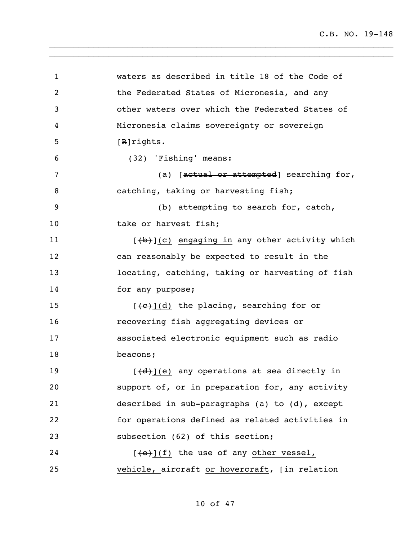| $\mathbf{1}$   | waters as described in title 18 of the Code of                        |
|----------------|-----------------------------------------------------------------------|
| $\overline{c}$ | the Federated States of Micronesia, and any                           |
| 3              | other waters over which the Federated States of                       |
| 4              | Micronesia claims sovereignty or sovereign                            |
| 5              | $[R]$ rights.                                                         |
| 6              | (32) 'Fishing' means:                                                 |
| 7              | (a) [actual or attempted] searching for,                              |
| 8              | catching, taking or harvesting fish;                                  |
| 9              | (b) attempting to search for, catch,                                  |
| 10             | take or harvest fish;                                                 |
| 11             | $[\frac{1}{2}, \frac{1}{2}]$ (c) engaging in any other activity which |
| 12             | can reasonably be expected to result in the                           |
| 13             | locating, catching, taking or harvesting of fish                      |
| 14             | for any purpose;                                                      |
| 15             | $[(-c,+)]$ (d) the placing, searching for or                          |
| 16             | recovering fish aggregating devices or                                |
| 17             | associated electronic equipment such as radio                         |
| 18             | beacons;                                                              |
| 19             | [(d)](e) any operations at sea directly in                            |
| 20             | support of, or in preparation for, any activity                       |
| 21             | described in sub-paragraphs (a) to (d), except                        |
| 22             | for operations defined as related activities in                       |
| 23             | subsection (62) of this section;                                      |
| 24             | $[$ (e) ](f) the use of any other vessel,                             |
| 25             | vehicle, aircraft or hovercraft, [in relation                         |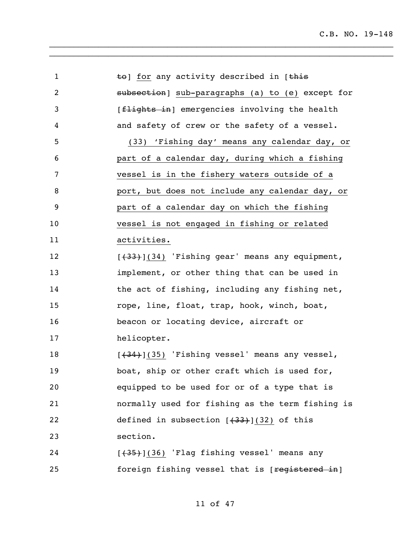| $\mathbf{1}$   | to] for any activity described in [this          |
|----------------|--------------------------------------------------|
| $\overline{c}$ | subsection] sub-paragraphs (a) to (e) except for |
| 3              | [flights in] emergencies involving the health    |
| 4              | and safety of crew or the safety of a vessel.    |
| 5              | (33) 'Fishing day' means any calendar day, or    |
| 6              | part of a calendar day, during which a fishing   |
| 7              | vessel is in the fishery waters outside of a     |
| 8              | port, but does not include any calendar day, or  |
| 9              | part of a calendar day on which the fishing      |
| 10             | vessel is not engaged in fishing or related      |
| 11             | activities.                                      |
| 12             | $[+33+](34)$ 'Fishing gear' means any equipment, |
| 13             | implement, or other thing that can be used in    |
| 14             | the act of fishing, including any fishing net,   |
| 15             | rope, line, float, trap, hook, winch, boat,      |
| 16             | beacon or locating device, aircraft or           |
| 17             | helicopter.                                      |
| 18             | $[434] (35)$ 'Fishing vessel' means any vessel,  |
| 19             | boat, ship or other craft which is used for,     |
| 20             | equipped to be used for or of a type that is     |
| 21             | normally used for fishing as the term fishing is |
| 22             | defined in subsection $[433+](32)$ of this       |
| 23             | section.                                         |
| 24             | $[435]$ (36) 'Flag fishing vessel' means any     |
| 25             | foreign fishing vessel that is [registered in]   |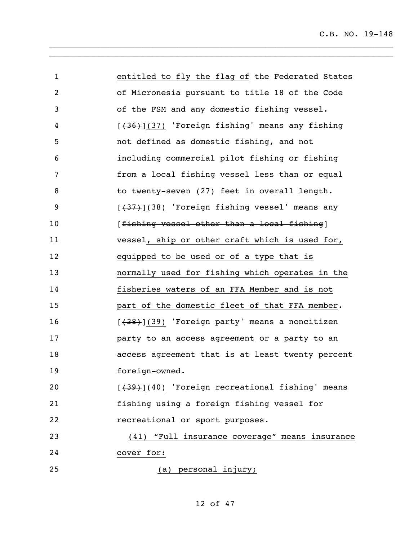| $\mathbf{1}$ | entitled to fly the flag of the Federated States |
|--------------|--------------------------------------------------|
| 2            | of Micronesia pursuant to title 18 of the Code   |
| 3            | of the FSM and any domestic fishing vessel.      |
| 4            | [(36)](37) 'Foreign fishing' means any fishing   |
| 5            | not defined as domestic fishing, and not         |
| 6            | including commercial pilot fishing or fishing    |
| 7            | from a local fishing vessel less than or equal   |
| 8            | to twenty-seven (27) feet in overall length.     |
| 9            | [(37)](38) 'Foreign fishing vessel' means any    |
| 10           | [fishing vessel other than a local fishing]      |
| 11           | vessel, ship or other craft which is used for,   |
| 12           | equipped to be used or of a type that is         |
| 13           | normally used for fishing which operates in the  |
| 14           | fisheries waters of an FFA Member and is not     |
| 15           | part of the domestic fleet of that FFA member.   |
| 16           | [(38)](39) 'Foreign party' means a noncitizen    |
| 17           | party to an access agreement or a party to an    |
| 18           | access agreement that is at least twenty percent |
| 19           | foreign-owned.                                   |
| 20           | [(39)](40) 'Foreign recreational fishing' means  |
| 21           | fishing using a foreign fishing vessel for       |
| 22           | recreational or sport purposes.                  |
| 23           | (41) "Full insurance coverage" means insurance   |
| 24           | cover for:                                       |
| 25           | personal injury;<br>(a)                          |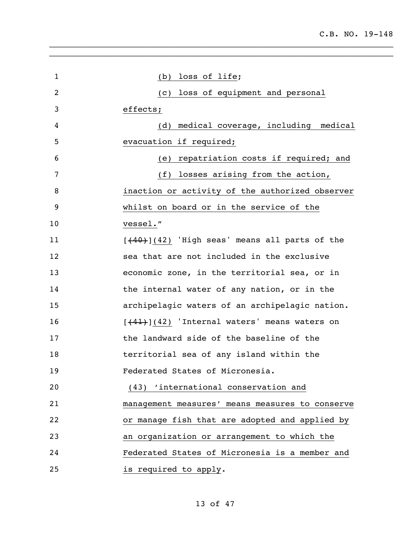| $\mathbf{1}$   | loss of life;<br>(b)                                  |
|----------------|-------------------------------------------------------|
| $\overline{2}$ | loss of equipment and personal<br>(C)                 |
| 3              | effects;                                              |
| 4              | medical coverage, including medical<br>(d)            |
| 5              | evacuation if required;                               |
| 6              | repatriation costs if required; and<br>(e)            |
| 7              | (f) losses arising from the action,                   |
| 8              | inaction or activity of the authorized observer       |
| 9              | whilst on board or in the service of the              |
| 10             | vessel."                                              |
| 11             | $[440]+[42)$ 'High seas' means all parts of the       |
| 12             | sea that are not included in the exclusive            |
| 13             | economic zone, in the territorial sea, or in          |
| 14             | the internal water of any nation, or in the           |
| 15             | archipelagic waters of an archipelagic nation.        |
| 16             | $[$ $(41)$ ] $(42)$ 'Internal waters' means waters on |
| 17             | the landward side of the baseline of the              |
| 18             | territorial sea of any island within the              |
| 19             | Federated States of Micronesia.                       |
| 20             | (43) 'international conservation and                  |
| 21             | management measures' means measures to conserve       |
| 22             | or manage fish that are adopted and applied by        |
| 23             | an organization or arrangement to which the           |
| 24             | Federated States of Micronesia is a member and        |
| 25             | is required to apply.                                 |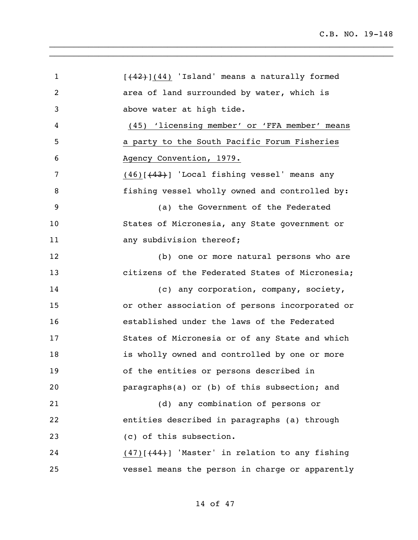| $\mathbf{1}$ | $[442]$ (44) 'Island' means a naturally formed        |
|--------------|-------------------------------------------------------|
| 2            | area of land surrounded by water, which is            |
| 3            | above water at high tide.                             |
| 4            | (45) 'licensing member' or 'FFA member' means         |
| 5            | a party to the South Pacific Forum Fisheries          |
| 6            | Agency Convention, 1979.                              |
| 7            | $(46)$ [ $(43)$ ] 'Local fishing vessel' means any    |
| 8            | fishing vessel wholly owned and controlled by:        |
| 9            | (a) the Government of the Federated                   |
| 10           | States of Micronesia, any State government or         |
| 11           | any subdivision thereof;                              |
| 12           | (b) one or more natural persons who are               |
| 13           | citizens of the Federated States of Micronesia;       |
| 14           | (c) any corporation, company, society,                |
| 15           | or other association of persons incorporated or       |
| 16           | established under the laws of the Federated           |
| 17           | States of Micronesia or of any State and which        |
| 18           | is wholly owned and controlled by one or more         |
| 19           | of the entities or persons described in               |
| 20           | paragraphs(a) or (b) of this subsection; and          |
| 21           | (d) any combination of persons or                     |
| 22           | entities described in paragraphs (a) through          |
| 23           | (c) of this subsection.                               |
| 24           | $(47)$ [ $(44)$ ] 'Master' in relation to any fishing |
| 25           | vessel means the person in charge or apparently       |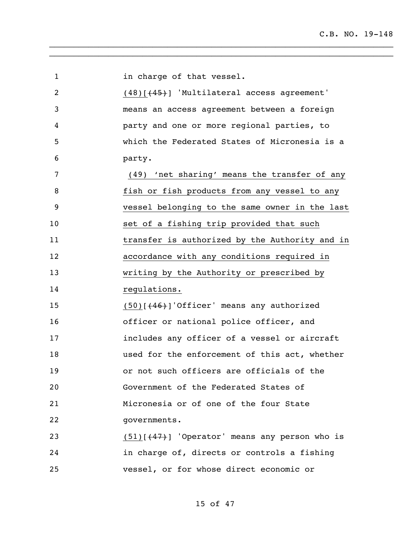| $\mathbf{1}$ | in charge of that vessel.                            |
|--------------|------------------------------------------------------|
| 2            | (48)[(45)] 'Multilateral access agreement'           |
| 3            | means an access agreement between a foreign          |
| 4            | party and one or more regional parties, to           |
| 5            | which the Federated States of Micronesia is a        |
| 6            | party.                                               |
| 7            | (49) 'net sharing' means the transfer of any         |
| 8            | fish or fish products from any vessel to any         |
| 9            | vessel belonging to the same owner in the last       |
| 10           | set of a fishing trip provided that such             |
| 11           | transfer is authorized by the Authority and in       |
| 12           | accordance with any conditions required in           |
| 13           | writing by the Authority or prescribed by            |
| 14           | regulations.                                         |
| 15           | $(50)$ [ $(46)$ ]'Officer' means any authorized      |
| 16           | officer or national police officer, and              |
| 17           | includes any officer of a vessel or aircraft         |
| 18           | used for the enforcement of this act, whether        |
| 19           | or not such officers are officials of the            |
| 20           | Government of the Federated States of                |
| 21           | Micronesia or of one of the four State               |
| 22           | governments.                                         |
| 23           | $(51)$ [ $(47)$ ] 'Operator' means any person who is |
| 24           | in charge of, directs or controls a fishing          |
| 25           | vessel, or for whose direct economic or              |
|              |                                                      |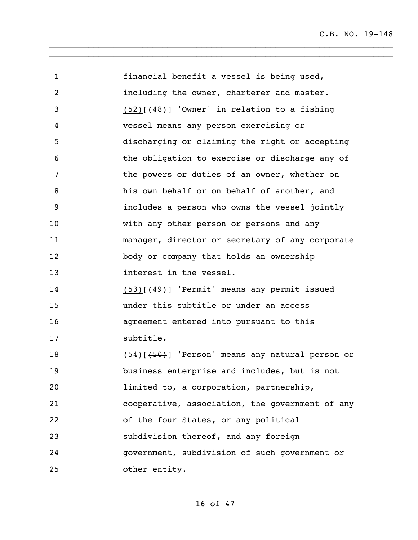| $\mathbf{1}$ | financial benefit a vessel is being used,              |
|--------------|--------------------------------------------------------|
| 2            | including the owner, charterer and master.             |
| 3            | $(52)$ $(48)$ ] 'Owner' in relation to a fishing       |
| 4            | vessel means any person exercising or                  |
| 5            | discharging or claiming the right or accepting         |
| 6            | the obligation to exercise or discharge any of         |
| 7            | the powers or duties of an owner, whether on           |
| 8            | his own behalf or on behalf of another, and            |
| 9            | includes a person who owns the vessel jointly          |
| 10           | with any other person or persons and any               |
| 11           | manager, director or secretary of any corporate        |
| 12           | body or company that holds an ownership                |
| 13           | interest in the vessel.                                |
| 14           | $(53)$ [ $(49)$ ] 'Permit' means any permit issued     |
| 15           | under this subtitle or under an access                 |
| 16           | agreement entered into pursuant to this                |
| 17           | subtitle.                                              |
| 18           | $(54)$ [ $(50)$ ] 'Person' means any natural person or |
| 19           | business enterprise and includes, but is not           |
| 20           | limited to, a corporation, partnership,                |
| 21           | cooperative, association, the government of any        |
| 22           | of the four States, or any political                   |
| 23           | subdivision thereof, and any foreign                   |
| 24           | government, subdivision of such government or          |
| 25           | other entity.                                          |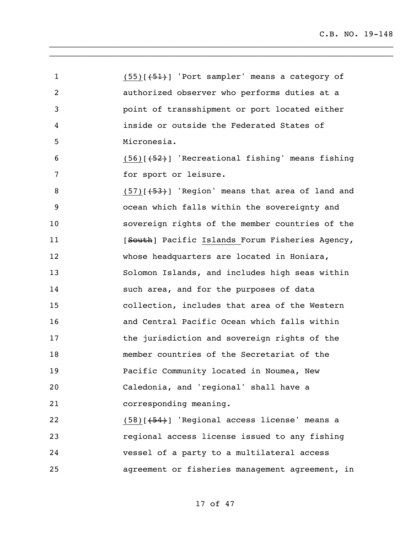| $\mathbf 1$    | $(55)[(51)]$ 'Port sampler' means a category of        |
|----------------|--------------------------------------------------------|
| $\overline{c}$ | authorized observer who performs duties at a           |
| 3              | point of transshipment or port located either          |
| 4              | inside or outside the Federated States of              |
| 5              | Micronesia.                                            |
| 6              | $(56)$ [ $(52)$ ] 'Recreational fishing' means fishing |
| 7              | for sport or leisure.                                  |
| 8              | $(57)$ [ $(53)$ ] 'Region' means that area of land and |
| 9              | ocean which falls within the sovereignty and           |
| 10             | sovereign rights of the member countries of the        |
| 11             | [South] Pacific Islands Forum Fisheries Agency,        |
| 12             | whose headquarters are located in Honiara,             |
| 13             | Solomon Islands, and includes high seas within         |
| 14             | such area, and for the purposes of data                |
| 15             | collection, includes that area of the Western          |
| 16             | and Central Pacific Ocean which falls within           |
| 17             | the jurisdiction and sovereign rights of the           |
| 18             | member countries of the Secretariat of the             |
| 19             | Pacific Community located in Noumea, New               |
| 20             | Caledonia, and 'regional' shall have a                 |
| 21             | corresponding meaning.                                 |
| 22             | $(58)$ [ $(54)$ ] 'Regional access license' means a    |
| 23             | regional access license issued to any fishing          |
| 24             | vessel of a party to a multilateral access             |
| 25             | agreement or fisheries management agreement, in        |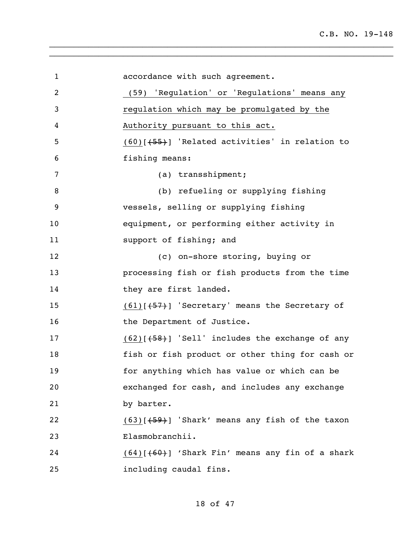accordance with such agreement. (59) 'Regulation' or 'Regulations' means any regulation which may be promulgated by the Authority pursuant to this act. (60)[(55)] 'Related activities' in relation to fishing means: (a) transshipment; (b) refueling or supplying fishing vessels, selling or supplying fishing equipment, or performing either activity in 11 support of fishing; and (c) on-shore storing, buying or processing fish or fish products from the time 14 they are first landed. 15 (61)[(57)] 'Secretary' means the Secretary of 16 the Department of Justice. 17 (62)[(58)] 'Sell' includes the exchange of any fish or fish product or other thing for cash or for anything which has value or which can be exchanged for cash, and includes any exchange 21 by barter.  $(63)[\overline{59}]$  'Shark' means any fish of the taxon Elasmobranchii. 24 (64)[(60)] 'Shark Fin' means any fin of a shark including caudal fins.

\_\_\_\_\_\_\_\_\_\_\_\_\_\_\_\_\_\_\_\_\_\_\_\_\_\_\_\_\_\_\_\_\_\_\_\_\_\_\_\_\_\_\_\_\_\_\_\_\_\_\_\_\_\_\_\_\_\_\_\_\_\_\_\_\_\_\_\_\_\_ \_\_\_\_\_\_\_\_\_\_\_\_\_\_\_\_\_\_\_\_\_\_\_\_\_\_\_\_\_\_\_\_\_\_\_\_\_\_\_\_\_\_\_\_\_\_\_\_\_\_\_\_\_\_\_\_\_\_\_\_\_\_\_\_\_\_\_\_\_\_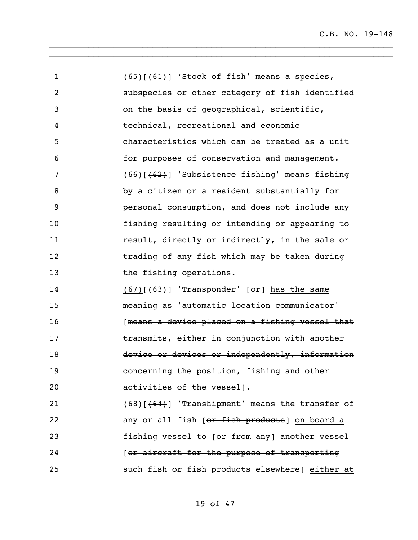| 1              | $(65)$ [ $(61)$ ] 'Stock of fish' means a species,                 |
|----------------|--------------------------------------------------------------------|
| $\overline{2}$ | subspecies or other category of fish identified                    |
| 3              | on the basis of geographical, scientific,                          |
| 4              | technical, recreational and economic                               |
| 5              | characteristics which can be treated as a unit                     |
| 6              | for purposes of conservation and management.                       |
| 7              | $(66)$ [ $(62)$ ] 'Subsistence fishing' means fishing              |
| 8              | by a citizen or a resident substantially for                       |
| 9              | personal consumption, and does not include any                     |
| 10             | fishing resulting or intending or appearing to                     |
| 11             | result, directly or indirectly, in the sale or                     |
| 12             | trading of any fish which may be taken during                      |
| 13             | the fishing operations.                                            |
| 14             | $(67)$ [ $(63)$ ] 'Transponder' [ $\Theta$ <b>F</b> ] has the same |
| 15             | meaning as 'automatic location communicator'                       |
| 16             | [means a device placed on a fishing vessel that                    |
| 17             | transmits, either in conjunction with another                      |
| 18             | device or devices or independently, information                    |
| 19             | concerning the position, fishing and other                         |
| 20             | activities of the vessel].                                         |
| 21             | $(68)$ [ $(64)$ ] 'Transhipment' means the transfer of             |
| 22             | any or all fish (or fish products) on board a                      |
| 23             | fishing vessel to [or from any] another vessel                     |
| 24             | [or aircraft for the purpose of transporting                       |
| 25             | such fish or fish products elsewhere] either at                    |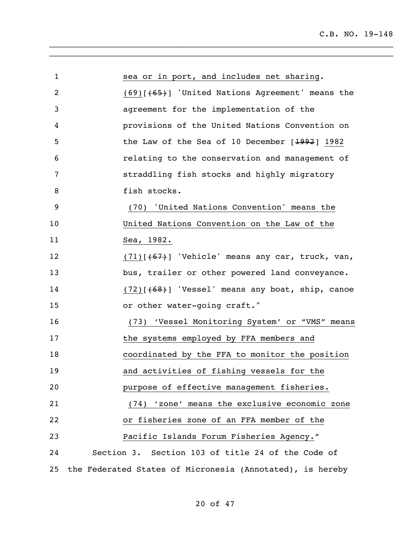| $\mathbf{1}$   | sea or in port, and includes net sharing.                    |
|----------------|--------------------------------------------------------------|
| $\overline{c}$ | (69)[ <del>(65)</del> ] 'United Nations Agreement' means the |
| 3              | agreement for the implementation of the                      |
| 4              | provisions of the United Nations Convention on               |
| 5              | the Law of the Sea of 10 December $[1992]$ 1982              |
| 6              | relating to the conservation and management of               |
| 7              | straddling fish stocks and highly migratory                  |
| 8              | fish stocks.                                                 |
| 9              | (70) 'United Nations Convention' means the                   |
| 10             | United Nations Convention on the Law of the                  |
| 11             | Sea, 1982.                                                   |
| 12             | $(71)[(67)]$ 'Vehicle' means any car, truck, van,            |
| 13             | bus, trailer or other powered land conveyance.               |
| 14             | (72)[(68)] 'Vessel' means any boat, ship, canoe              |
| 15             | or other water-going craft."                                 |
| 16             | (73) 'Vessel Monitoring System' or "VMS" means               |
| 17             | the systems employed by FFA members and                      |
| 18             | coordinated by the FFA to monitor the position               |
| 19             | and activities of fishing vessels for the                    |
| 20             | purpose of effective management fisheries.                   |
| 21             | (74) 'zone' means the exclusive economic zone                |
| 22             | or fisheries zone of an FFA member of the                    |
| 23             | Pacific Islands Forum Fisheries Agency."                     |
| 24             | Section 3. Section 103 of title 24 of the Code of            |
| 25             | the Federated States of Micronesia (Annotated), is hereby    |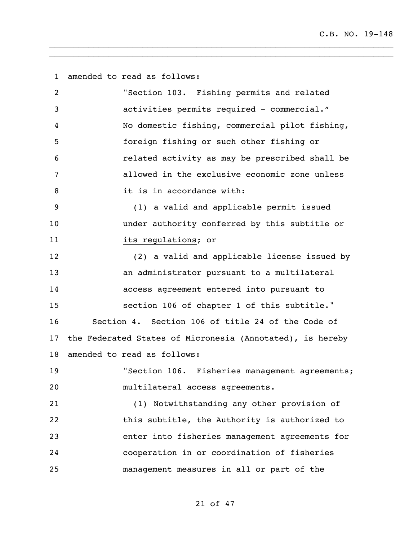| $\mathbf{1}$ | amended to read as follows:                               |
|--------------|-----------------------------------------------------------|
| 2            | "Section 103. Fishing permits and related                 |
| 3            | activities permits required - commercial."                |
| 4            | No domestic fishing, commercial pilot fishing,            |
| 5            | foreign fishing or such other fishing or                  |
| 6            | related activity as may be prescribed shall be            |
| 7            | allowed in the exclusive economic zone unless             |
| 8            | it is in accordance with:                                 |
| 9            | (1) a valid and applicable permit issued                  |
| 10           | under authority conferred by this subtitle or             |
| 11           | its regulations; or                                       |
| 12           | (2) a valid and applicable license issued by              |
| 13           | an administrator pursuant to a multilateral               |
| 14           | access agreement entered into pursuant to                 |
| 15           | section 106 of chapter 1 of this subtitle."               |
| 16           | Section 4. Section 106 of title 24 of the Code of         |
| 17           | the Federated States of Micronesia (Annotated), is hereby |
| 18           | amended to read as follows:                               |
| 19           | "Section 106. Fisheries management agreements;            |
| 20           | multilateral access agreements.                           |
| 21           | (1) Notwithstanding any other provision of                |
| 22           | this subtitle, the Authority is authorized to             |
| 23           | enter into fisheries management agreements for            |
| 24           | cooperation in or coordination of fisheries               |
| 25           | management measures in all or part of the                 |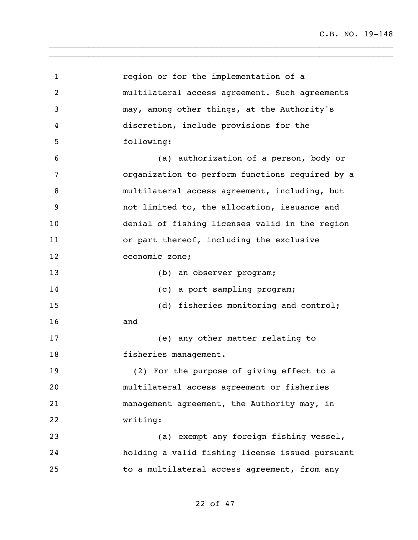**1** region or for the implementation of a multilateral access agreement. Such agreements may, among other things, at the Authority's discretion, include provisions for the following: (a) authorization of a person, body or organization to perform functions required by a multilateral access agreement, including, but not limited to, the allocation, issuance and denial of fishing licenses valid in the region or part thereof, including the exclusive economic zone; (b) an observer program; 14 (c) a port sampling program; 15 (d) fisheries monitoring and control; and (e) any other matter relating to 18 fisheries management. (2) For the purpose of giving effect to a multilateral access agreement or fisheries management agreement, the Authority may, in writing: (a) exempt any foreign fishing vessel, holding a valid fishing license issued pursuant to a multilateral access agreement, from any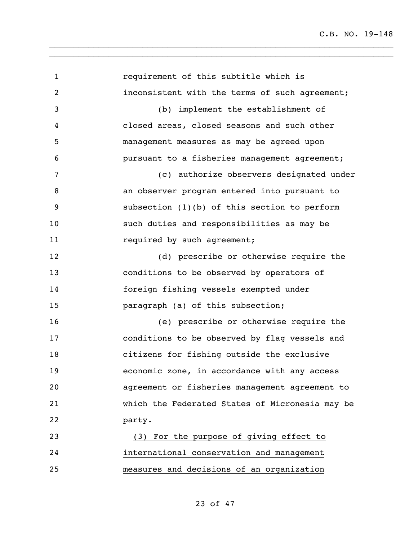**1** requirement of this subtitle which is inconsistent with the terms of such agreement; (b) implement the establishment of closed areas, closed seasons and such other management measures as may be agreed upon pursuant to a fisheries management agreement; (c) authorize observers designated under an observer program entered into pursuant to subsection (1)(b) of this section to perform such duties and responsibilities as may be 11 required by such agreement; (d) prescribe or otherwise require the conditions to be observed by operators of foreign fishing vessels exempted under paragraph (a) of this subsection; (e) prescribe or otherwise require the conditions to be observed by flag vessels and citizens for fishing outside the exclusive economic zone, in accordance with any access agreement or fisheries management agreement to which the Federated States of Micronesia may be party. (3) For the purpose of giving effect to international conservation and management measures and decisions of an organization

\_\_\_\_\_\_\_\_\_\_\_\_\_\_\_\_\_\_\_\_\_\_\_\_\_\_\_\_\_\_\_\_\_\_\_\_\_\_\_\_\_\_\_\_\_\_\_\_\_\_\_\_\_\_\_\_\_\_\_\_\_\_\_\_\_\_\_\_\_\_ \_\_\_\_\_\_\_\_\_\_\_\_\_\_\_\_\_\_\_\_\_\_\_\_\_\_\_\_\_\_\_\_\_\_\_\_\_\_\_\_\_\_\_\_\_\_\_\_\_\_\_\_\_\_\_\_\_\_\_\_\_\_\_\_\_\_\_\_\_\_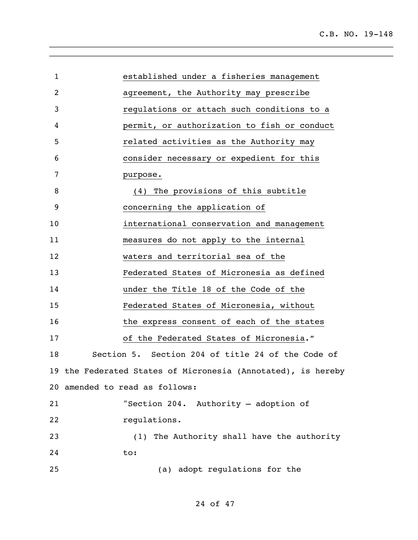| $\mathbf{1}$ | established under a fisheries management                     |
|--------------|--------------------------------------------------------------|
| 2            | agreement, the Authority may prescribe                       |
| 3            | regulations or attach such conditions to a                   |
| 4            | permit, or authorization to fish or conduct                  |
| 5            | related activities as the Authority may                      |
| 6            | consider necessary or expedient for this                     |
| 7            | purpose.                                                     |
| 8            | (4) The provisions of this subtitle                          |
| 9            | concerning the application of                                |
| 10           | international conservation and management                    |
| 11           | measures do not apply to the internal                        |
| 12           | waters and territorial sea of the                            |
| 13           | Federated States of Micronesia as defined                    |
| 14           | under the Title 18 of the Code of the                        |
| 15           | Federated States of Micronesia, without                      |
| 16           | the express consent of each of the states                    |
| 17           | of the Federated States of Micronesia."                      |
| 18           | Section 5. Section 204 of title 24 of the Code of            |
|              | 19 the Federated States of Micronesia (Annotated), is hereby |
|              | 20 amended to read as follows:                               |
| 21           | "Section 204. Authority - adoption of                        |
| 22           | regulations.                                                 |
| 23           | (1) The Authority shall have the authority                   |
| 24           | to:                                                          |
| 25           | (a) adopt regulations for the                                |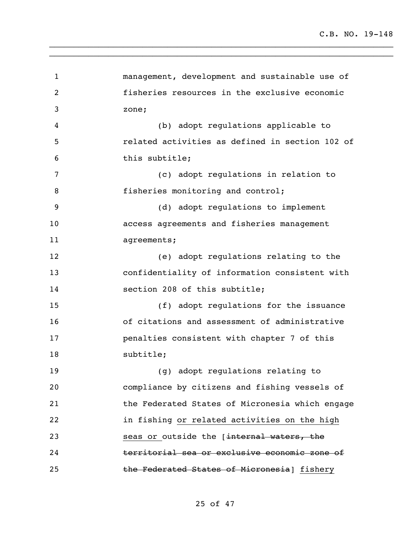| 1              | management, development and sustainable use of  |
|----------------|-------------------------------------------------|
| $\overline{c}$ | fisheries resources in the exclusive economic   |
| 3              | zone;                                           |
| 4              | (b) adopt regulations applicable to             |
| 5              | related activities as defined in section 102 of |
| 6              | this subtitle;                                  |
| 7              | (c) adopt regulations in relation to            |
| 8              | fisheries monitoring and control;               |
| 9              | (d) adopt requlations to implement              |
| 10             | access agreements and fisheries management      |
| 11             | agreements;                                     |
| 12             | (e) adopt regulations relating to the           |
| 13             | confidentiality of information consistent with  |
| 14             | section 208 of this subtitle;                   |
| 15             | (f) adopt regulations for the issuance          |
| 16             | of citations and assessment of administrative   |
| 17             | penalties consistent with chapter 7 of this     |
| 18             | subtitle;                                       |
| 19             | (g) adopt regulations relating to               |
| 20             | compliance by citizens and fishing vessels of   |
| 21             | the Federated States of Micronesia which engage |
| 22             | in fishing or related activities on the high    |
| 23             | seas or outside the [internal waters, the       |
| 24             | territorial sea or exclusive economic zone of   |
| 25             | the Federated States of Micronesia] fishery     |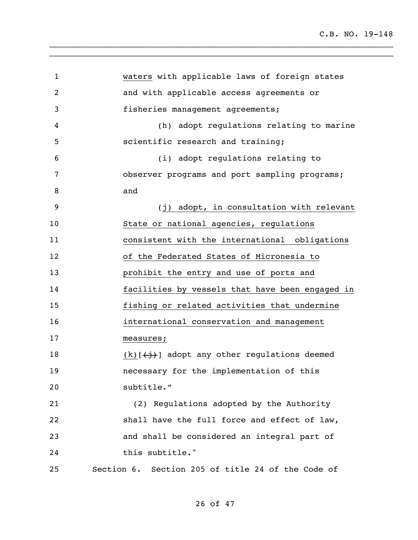| $\mathbf{1}$ | waters with applicable laws of foreign states                  |
|--------------|----------------------------------------------------------------|
| 2            | and with applicable access agreements or                       |
| 3            | fisheries management agreements;                               |
| 4            | (h) adopt regulations relating to marine                       |
| 5            | scientific research and training;                              |
| 6            | (i) adopt regulations relating to                              |
| 7            | observer programs and port sampling programs;                  |
| 8            | and                                                            |
| 9            | (j) adopt, in consultation with relevant                       |
| 10           | State or national agencies, regulations                        |
| 11           | consistent with the international obligations                  |
| 12           | of the Federated States of Micronesia to                       |
| 13           | prohibit the entry and use of ports and                        |
| 14           | facilities by vessels that have been engaged in                |
| 15           | fishing or related activities that undermine                   |
| 16           | international conservation and management                      |
| 17           | measures;                                                      |
| 18           | $(k)$ [ $\leftrightarrow$ ] adopt any other regulations deemed |
| 19           | necessary for the implementation of this                       |
| 20           | subtitle."                                                     |
| 21           | (2) Regulations adopted by the Authority                       |
| 22           | shall have the full force and effect of law,                   |
| 23           | and shall be considered an integral part of                    |
| 24           | this subtitle."                                                |
| 25           | Section 6. Section 205 of title 24 of the Code of              |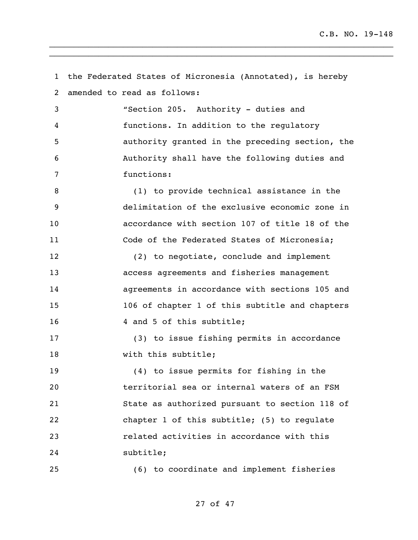the Federated States of Micronesia (Annotated), is hereby amended to read as follows: "Section 205. Authority - duties and functions. In addition to the regulatory authority granted in the preceding section, the Authority shall have the following duties and functions: (1) to provide technical assistance in the delimitation of the exclusive economic zone in accordance with section 107 of title 18 of the Code of the Federated States of Micronesia; (2) to negotiate, conclude and implement access agreements and fisheries management agreements in accordance with sections 105 and 106 of chapter 1 of this subtitle and chapters 16 4 and 5 of this subtitle; (3) to issue fishing permits in accordance 18 with this subtitle; (4) to issue permits for fishing in the territorial sea or internal waters of an FSM State as authorized pursuant to section 118 of chapter 1 of this subtitle; (5) to regulate related activities in accordance with this subtitle; (6) to coordinate and implement fisheries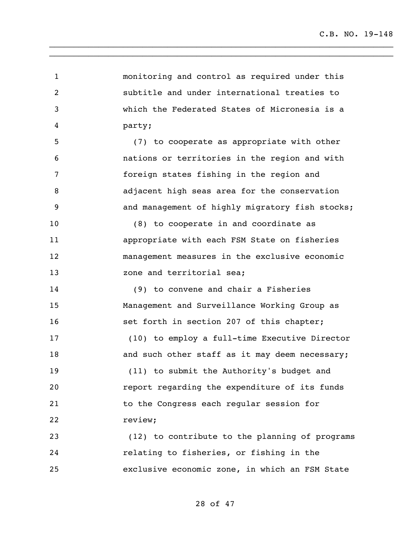| $\mathbf{1}$   | monitoring and control as required under this   |
|----------------|-------------------------------------------------|
| $\overline{c}$ | subtitle and under international treaties to    |
| 3              | which the Federated States of Micronesia is a   |
| 4              | party;                                          |
| 5              | (7) to cooperate as appropriate with other      |
| 6              | nations or territories in the region and with   |
| 7              | foreign states fishing in the region and        |
| 8              | adjacent high seas area for the conservation    |
| 9              | and management of highly migratory fish stocks; |
| 10             | (8) to cooperate in and coordinate as           |
| 11             | appropriate with each FSM State on fisheries    |
| 12             | management measures in the exclusive economic   |
| 13             | zone and territorial sea;                       |
| 14             | (9) to convene and chair a Fisheries            |
| 15             | Management and Surveillance Working Group as    |
| 16             | set forth in section 207 of this chapter;       |
| 17             | (10) to employ a full-time Executive Director   |
| 18             | and such other staff as it may deem necessary;  |
| 19             | (11) to submit the Authority's budget and       |
| 20             | report regarding the expenditure of its funds   |
| 21             | to the Congress each regular session for        |
| 22             | review;                                         |
| 23             | (12) to contribute to the planning of programs  |
| 24             | relating to fisheries, or fishing in the        |
| 25             | exclusive economic zone, in which an FSM State  |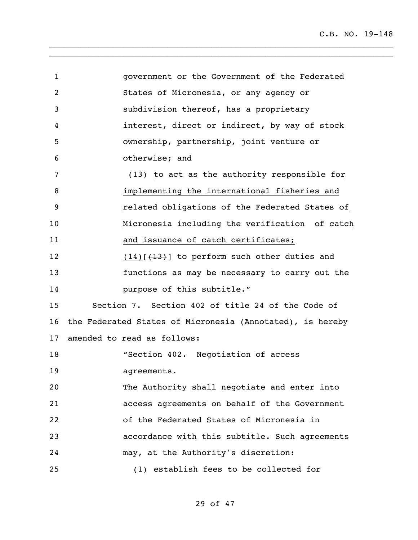| $\mathbf{1}$ | government or the Government of the Federated             |
|--------------|-----------------------------------------------------------|
| 2            | States of Micronesia, or any agency or                    |
| 3            | subdivision thereof, has a proprietary                    |
| 4            | interest, direct or indirect, by way of stock             |
| 5            | ownership, partnership, joint venture or                  |
| 6            | otherwise; and                                            |
| 7            | (13) to act as the authority responsible for              |
| 8            | implementing the international fisheries and              |
| 9            | related obligations of the Federated States of            |
| 10           | Micronesia including the verification of catch            |
| 11           | and issuance of catch certificates;                       |
| 12           | $(14)$ [ $(13)$ ] to perform such other duties and        |
| 13           | functions as may be necessary to carry out the            |
| 14           | purpose of this subtitle."                                |
| 15           | Section 7. Section 402 of title 24 of the Code of         |
| 16           | the Federated States of Micronesia (Annotated), is hereby |
| 17           | amended to read as follows:                               |
| 18           | "Section 402. Negotiation of access                       |
| 19           | agreements.                                               |
| 20           | The Authority shall negotiate and enter into              |
| 21           | access agreements on behalf of the Government             |
| 22           | of the Federated States of Micronesia in                  |
| 23           | accordance with this subtitle. Such agreements            |
| 24           | may, at the Authority's discretion:                       |
| 25           | (1) establish fees to be collected for                    |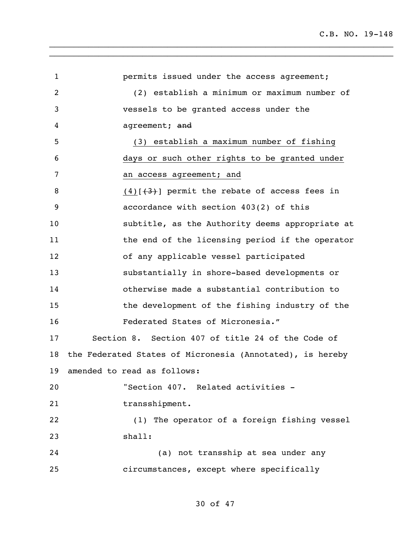| $\mathbf{1}$   | permits issued under the access agreement;                |
|----------------|-----------------------------------------------------------|
| $\overline{c}$ | (2) establish a minimum or maximum number of              |
| 3              | vessels to be granted access under the                    |
| 4              | agreement; and                                            |
| 5              | (3) establish a maximum number of fishing                 |
| 6              | days or such other rights to be granted under             |
| 7              | an access agreement; and                                  |
| 8              | $(4)$ $(4)$ $(3)$ permit the rebate of access fees in     |
| 9              | accordance with section 403(2) of this                    |
| 10             | subtitle, as the Authority deems appropriate at           |
| 11             | the end of the licensing period if the operator           |
| 12             | of any applicable vessel participated                     |
| 13             | substantially in shore-based developments or              |
| 14             | otherwise made a substantial contribution to              |
| 15             | the development of the fishing industry of the            |
| 16             | Federated States of Micronesia."                          |
| 17             | Section 8. Section 407 of title 24 of the Code of         |
| 18             | the Federated States of Micronesia (Annotated), is hereby |
| 19             | amended to read as follows:                               |
| 20             | "Section 407. Related activities -                        |
| 21             | transshipment.                                            |
| 22             | (1) The operator of a foreign fishing vessel              |
| 23             | shall:                                                    |
| 24             | (a) not transship at sea under any                        |
| 25             | circumstances, except where specifically                  |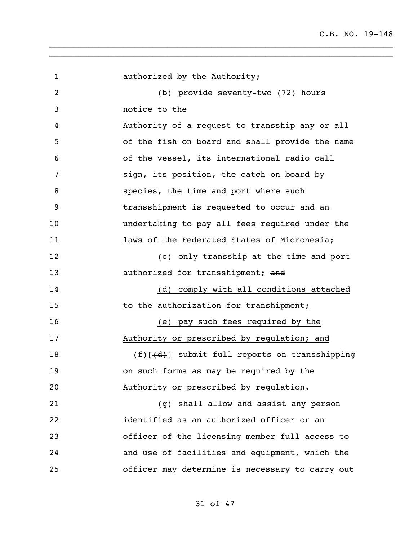| $\mathbf{1}$   | authorized by the Authority;                         |
|----------------|------------------------------------------------------|
| $\overline{2}$ | (b) provide seventy-two (72) hours                   |
| 3              | notice to the                                        |
| 4              | Authority of a request to transship any or all       |
| 5              | of the fish on board and shall provide the name      |
| 6              | of the vessel, its international radio call          |
| 7              | sign, its position, the catch on board by            |
| 8              | species, the time and port where such                |
| 9              | transshipment is requested to occur and an           |
| 10             | undertaking to pay all fees required under the       |
| 11             | laws of the Federated States of Micronesia;          |
| 12             | (c) only transship at the time and port              |
| 13             | authorized for transshipment; and                    |
| 14             | (d) comply with all conditions attached              |
| 15             | to the authorization for transhipment;               |
| 16             | (e) pay such fees required by the                    |
| 17             | Authority or prescribed by regulation; and           |
| 18             | $(f)$ [ $(d)$ ] submit full reports on transshipping |
| 19             | on such forms as may be required by the              |
| 20             | Authority or prescribed by regulation.               |
| 21             | shall allow and assist any person<br>(q)             |
| 22             | identified as an authorized officer or an            |
| 23             | officer of the licensing member full access to       |
| 24             | and use of facilities and equipment, which the       |
| 25             | officer may determine is necessary to carry out      |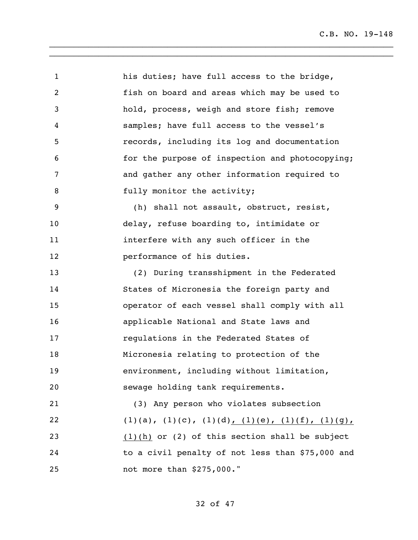| $\mathbf 1$    | his duties; have full access to the bridge,                       |
|----------------|-------------------------------------------------------------------|
| $\overline{c}$ | fish on board and areas which may be used to                      |
| 3              | hold, process, weigh and store fish; remove                       |
| 4              | samples; have full access to the vessel's                         |
| 5              | records, including its log and documentation                      |
| 6              | for the purpose of inspection and photocopying;                   |
| 7              | and gather any other information required to                      |
| 8              | fully monitor the activity;                                       |
| 9              | (h) shall not assault, obstruct, resist,                          |
| 10             | delay, refuse boarding to, intimidate or                          |
| 11             | interfere with any such officer in the                            |
| 12             | performance of his duties.                                        |
| 13             | (2) During transshipment in the Federated                         |
| 14             | States of Micronesia the foreign party and                        |
| 15             | operator of each vessel shall comply with all                     |
| 16             | applicable National and State laws and                            |
| 17             | regulations in the Federated States of                            |
| 18             | Micronesia relating to protection of the                          |
| 19             | environment, including without limitation,                        |
| 20             | sewage holding tank requirements.                                 |
| 21             | (3) Any person who violates subsection                            |
| 22             | $(1)(a)$ , $(1)(c)$ , $(1)(d)$ , $(1)(e)$ , $(1)(f)$ , $(1)(g)$ , |
| 23             | $(1)(h)$ or $(2)$ of this section shall be subject                |
| 24             | to a civil penalty of not less than \$75,000 and                  |
| 25             | not more than \$275,000."                                         |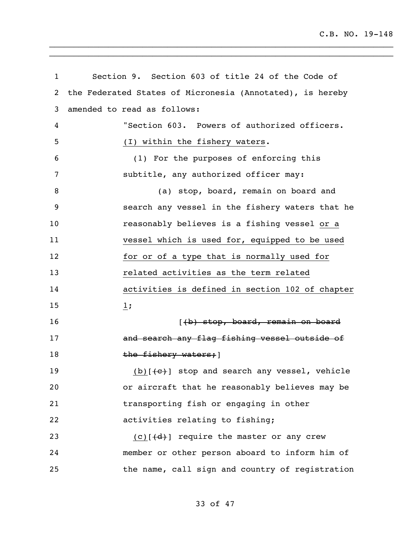| $\mathbf 1$ | Section 9. Section 603 of title 24 of the Code of         |
|-------------|-----------------------------------------------------------|
| 2           | the Federated States of Micronesia (Annotated), is hereby |
| 3           | amended to read as follows:                               |
| 4           | "Section 603. Powers of authorized officers.              |
| 5           | (I) within the fishery waters.                            |
| 6           | (1) For the purposes of enforcing this                    |
| 7           | subtitle, any authorized officer may:                     |
| 8           | (a) stop, board, remain on board and                      |
| 9           | search any vessel in the fishery waters that he           |
| 10          | reasonably believes is a fishing vessel or a              |
| 11          | vessel which is used for, equipped to be used             |
| 12          | for or of a type that is normally used for                |
| 13          | related activities as the term related                    |
| 14          | activities is defined in section 102 of chapter           |
| 15          | 1;                                                        |
| 16          | ((b) stop, board, remain on board                         |
| 17          | and search any flag fishing vessel outside of             |
| 18          | the fishery waters; 1                                     |
| 19          | (b)[{c}] stop and search any vessel, vehicle              |
| 20          | or aircraft that he reasonably believes may be            |
| 21          | transporting fish or engaging in other                    |
| 22          | activities relating to fishing;                           |
| 23          | $(c)$ [ $(d)$ ] require the master or any crew            |
| 24          | member or other person aboard to inform him of            |
| 25          | the name, call sign and country of registration           |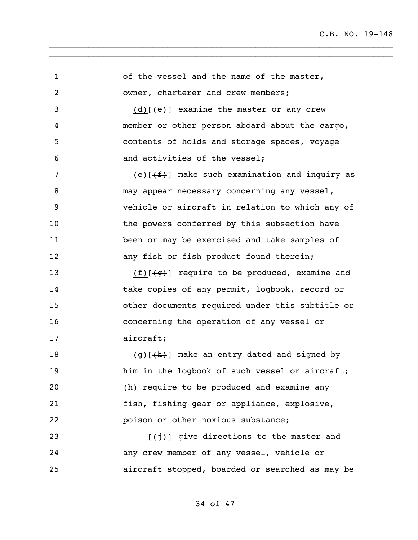1 of the vessel and the name of the master, owner, charterer and crew members; 3 (d) $\left[\frac{1}{e}\right]$  examine the master or any crew member or other person aboard about the cargo, contents of holds and storage spaces, voyage and activities of the vessel; 7 (e) $(f \oplus f)$  make such examination and inquiry as 8 may appear necessary concerning any vessel, vehicle or aircraft in relation to which any of the powers conferred by this subsection have been or may be exercised and take samples of 12 any fish or fish product found therein; 13 (f)[(g)] require to be produced, examine and take copies of any permit, logbook, record or other documents required under this subtitle or concerning the operation of any vessel or aircraft; 18 (g) $\left[\frac{h}{h}\right]$  make an entry dated and signed by 19 him in the logbook of such vessel or aircraft; (h) require to be produced and examine any fish, fishing gear or appliance, explosive, poison or other noxious substance;  $\left[\frac{1}{2}\right]$  give directions to the master and any crew member of any vessel, vehicle or aircraft stopped, boarded or searched as may be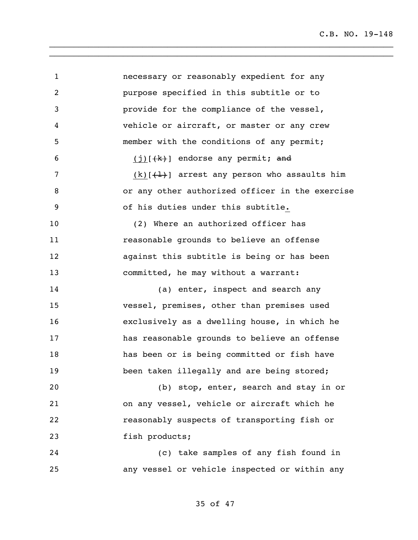| 1  | necessary or reasonably expedient for any                |
|----|----------------------------------------------------------|
| 2  | purpose specified in this subtitle or to                 |
| 3  | provide for the compliance of the vessel,                |
| 4  | vehicle or aircraft, or master or any crew               |
| 5  | member with the conditions of any permit;                |
| 6  | $(j)$ [ $(k)$ ] endorse any permit; and                  |
| 7  | $(k)$ $(\frac{1}{k})$ arrest any person who assaults him |
| 8  | or any other authorized officer in the exercise          |
| 9  | of his duties under this subtitle.                       |
| 10 | (2) Where an authorized officer has                      |
| 11 | reasonable grounds to believe an offense                 |
| 12 | against this subtitle is being or has been               |
| 13 | committed, he may without a warrant:                     |
| 14 | (a) enter, inspect and search any                        |
| 15 | vessel, premises, other than premises used               |
| 16 | exclusively as a dwelling house, in which he             |
| 17 | has reasonable grounds to believe an offense             |
| 18 | has been or is being committed or fish have              |
| 19 | been taken illegally and are being stored;               |
| 20 | (b) stop, enter, search and stay in or                   |
| 21 | on any vessel, vehicle or aircraft which he              |
| 22 | reasonably suspects of transporting fish or              |
| 23 | fish products;                                           |
| 24 | (c) take samples of any fish found in                    |
| 25 | any vessel or vehicle inspected or within any            |

\_\_\_\_\_\_\_\_\_\_\_\_\_\_\_\_\_\_\_\_\_\_\_\_\_\_\_\_\_\_\_\_\_\_\_\_\_\_\_\_\_\_\_\_\_\_\_\_\_\_\_\_\_\_\_\_\_\_\_\_\_\_\_\_\_\_\_\_\_\_ \_\_\_\_\_\_\_\_\_\_\_\_\_\_\_\_\_\_\_\_\_\_\_\_\_\_\_\_\_\_\_\_\_\_\_\_\_\_\_\_\_\_\_\_\_\_\_\_\_\_\_\_\_\_\_\_\_\_\_\_\_\_\_\_\_\_\_\_\_\_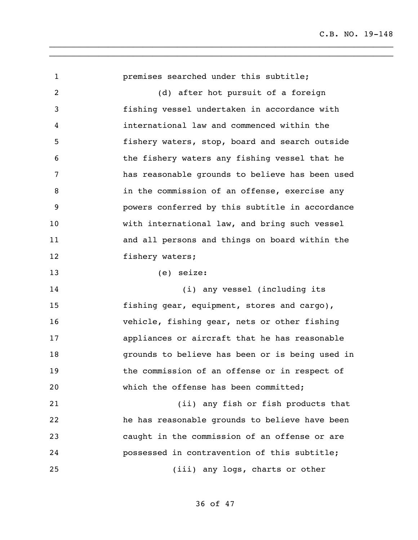**premises searched under this subtitle;**  (d) after hot pursuit of a foreign fishing vessel undertaken in accordance with international law and commenced within the fishery waters, stop, board and search outside the fishery waters any fishing vessel that he has reasonable grounds to believe has been used in the commission of an offense, exercise any powers conferred by this subtitle in accordance with international law, and bring such vessel and all persons and things on board within the 12 fishery waters; (e) seize: 14 (i) any vessel (including its fishing gear, equipment, stores and cargo), vehicle, fishing gear, nets or other fishing appliances or aircraft that he has reasonable grounds to believe has been or is being used in the commission of an offense or in respect of which the offense has been committed; (ii) any fish or fish products that he has reasonable grounds to believe have been caught in the commission of an offense or are possessed in contravention of this subtitle; (iii) any logs, charts or other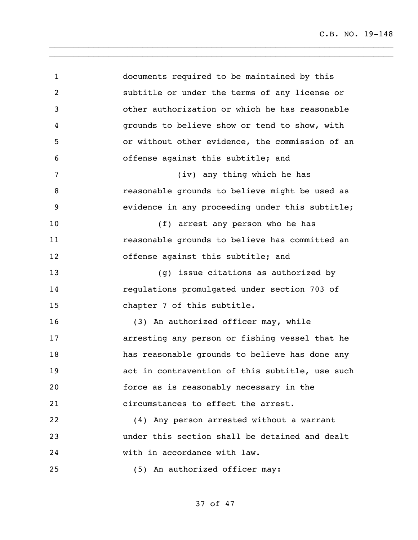| 1  | documents required to be maintained by this     |
|----|-------------------------------------------------|
| 2  | subtitle or under the terms of any license or   |
| 3  | other authorization or which he has reasonable  |
| 4  | grounds to believe show or tend to show, with   |
| 5  | or without other evidence, the commission of an |
| 6  | offense against this subtitle; and              |
| 7  | (iv) any thing which he has                     |
| 8  | reasonable grounds to believe might be used as  |
| 9  | evidence in any proceeding under this subtitle; |
| 10 | (f) arrest any person who he has                |
| 11 | reasonable grounds to believe has committed an  |
| 12 | offense against this subtitle; and              |
| 13 | (g) issue citations as authorized by            |
| 14 | regulations promulgated under section 703 of    |
| 15 | chapter 7 of this subtitle.                     |
| 16 | (3) An authorized officer may, while            |
| 17 | arresting any person or fishing vessel that he  |
| 18 | has reasonable grounds to believe has done any  |
| 19 | act in contravention of this subtitle, use such |
| 20 | force as is reasonably necessary in the         |
| 21 | circumstances to effect the arrest.             |
| 22 | (4) Any person arrested without a warrant       |
| 23 | under this section shall be detained and dealt  |
| 24 | with in accordance with law.                    |
| 25 | (5) An authorized officer may:                  |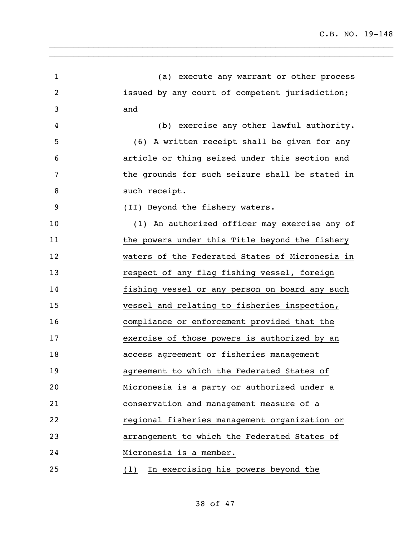| $\mathbf{1}$   | (a) execute any warrant or other process        |
|----------------|-------------------------------------------------|
| $\overline{c}$ | issued by any court of competent jurisdiction;  |
| 3              | and                                             |
| 4              | (b) exercise any other lawful authority.        |
| 5              | (6) A written receipt shall be given for any    |
| 6              | article or thing seized under this section and  |
| 7              | the grounds for such seizure shall be stated in |
| 8              | such receipt.                                   |
| 9              | (II) Beyond the fishery waters.                 |
| 10             | (1) An authorized officer may exercise any of   |
| 11             | the powers under this Title beyond the fishery  |
| 12             | waters of the Federated States of Micronesia in |
| 13             | respect of any flag fishing vessel, foreign     |
| 14             | fishing vessel or any person on board any such  |
| 15             | vessel and relating to fisheries inspection,    |
| 16             | compliance or enforcement provided that the     |
| 17             | exercise of those powers is authorized by an    |
| 18             | access agreement or fisheries management        |
| 19             | agreement to which the Federated States of      |
| 20             | Micronesia is a party or authorized under a     |
| 21             | conservation and management measure of a        |
| 22             | regional fisheries management organization or   |
| 23             | arrangement to which the Federated States of    |
| 24             | Micronesia is a member.                         |
| 25             | (1) In exercising his powers beyond the         |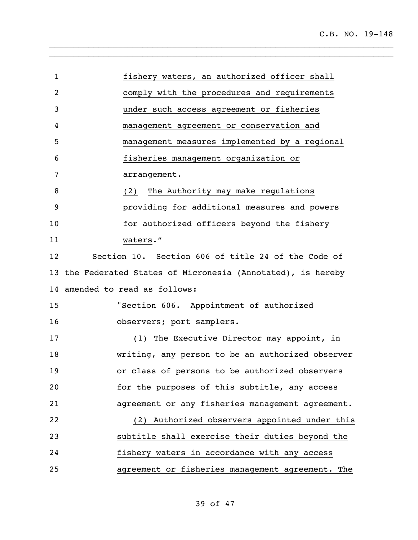| $\mathbf{1}$ | fishery waters, an authorized officer shall                  |
|--------------|--------------------------------------------------------------|
| 2            | comply with the procedures and requirements                  |
| 3            | under such access agreement or fisheries                     |
| 4            | management agreement or conservation and                     |
| 5            | management measures implemented by a regional                |
| 6            | fisheries management organization or                         |
| 7            | arrangement.                                                 |
| 8            | The Authority may make regulations<br>(2)                    |
| 9            | providing for additional measures and powers                 |
| 10           | for authorized officers beyond the fishery                   |
| 11           | waters."                                                     |
| 12           | Section 10. Section 606 of title 24 of the Code of           |
|              | 13 the Federated States of Micronesia (Annotated), is hereby |
|              | 14 amended to read as follows:                               |
| 15           | "Section 606. Appointment of authorized                      |
| 16           | observers; port samplers.                                    |
| 17           | (1) The Executive Director may appoint, in                   |
| 18           | writing, any person to be an authorized observer             |
| 19           | or class of persons to be authorized observers               |
| 20           | for the purposes of this subtitle, any access                |
| 21           | agreement or any fisheries management agreement.             |
| 22           | Authorized observers appointed under this<br>(2)             |
| 23           | subtitle shall exercise their duties beyond the              |
| 24           | fishery waters in accordance with any access                 |
| 25           | agreement or fisheries management agreement. The             |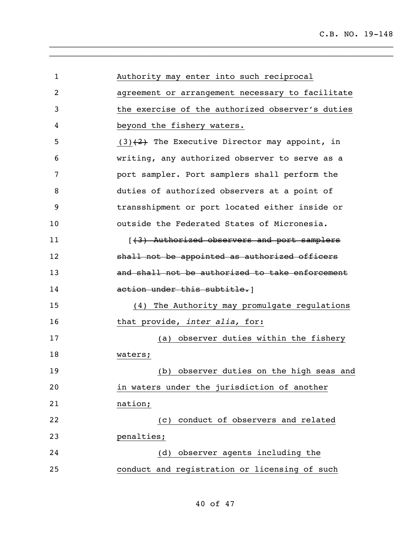| 1  | Authority may enter into such reciprocal           |
|----|----------------------------------------------------|
| 2  | agreement or arrangement necessary to facilitate   |
| 3  | the exercise of the authorized observer's duties   |
| 4  | beyond the fishery waters.                         |
| 5  | $(3)$ $(2)$ The Executive Director may appoint, in |
| 6  | writing, any authorized observer to serve as a     |
| 7  | port sampler. Port samplers shall perform the      |
| 8  | duties of authorized observers at a point of       |
| 9  | transshipment or port located either inside or     |
| 10 | outside the Federated States of Micronesia.        |
| 11 | [(3) Authorized observers and port samplers        |
| 12 | shall not be appointed as authorized officers      |
| 13 | and shall not be authorized to take enforcement    |
| 14 | action under this subtitle.                        |
| 15 | (4) The Authority may promulgate regulations       |
| 16 | that provide, inter alia, for:                     |
| 17 | (a) observer duties within the fishery             |
| 18 | waters;                                            |
| 19 | observer duties on the high seas and<br>(b)        |
| 20 | in waters under the jurisdiction of another        |
| 21 | nation;                                            |
| 22 | conduct of observers and related<br>(C)            |
| 23 | penalties;                                         |
| 24 | observer agents including the<br>(d)               |
| 25 | conduct and registration or licensing of such      |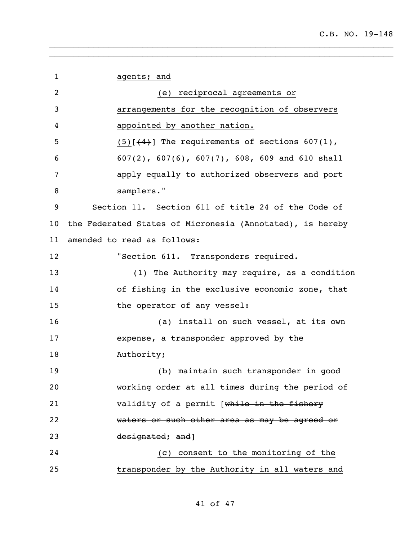1 agents; and (e) reciprocal agreements or arrangements for the recognition of observers appointed by another nation.  $(5)[(4)]$  The requirements of sections 607(1), 607(2), 607(6), 607(7), 608, 609 and 610 shall apply equally to authorized observers and port samplers." Section 11. Section 611 of title 24 of the Code of the Federated States of Micronesia (Annotated), is hereby amended to read as follows: "Section 611. Transponders required. (1) The Authority may require, as a condition of fishing in the exclusive economic zone, that 15 the operator of any vessel: (a) install on such vessel, at its own expense, a transponder approved by the Authority; (b) maintain such transponder in good working order at all times during the period of 21 validity of a permit [while in the fishery waters or such other area as may be agreed or 23 designated; and] (c) consent to the monitoring of the transponder by the Authority in all waters and

\_\_\_\_\_\_\_\_\_\_\_\_\_\_\_\_\_\_\_\_\_\_\_\_\_\_\_\_\_\_\_\_\_\_\_\_\_\_\_\_\_\_\_\_\_\_\_\_\_\_\_\_\_\_\_\_\_\_\_\_\_\_\_\_\_\_\_\_\_\_ \_\_\_\_\_\_\_\_\_\_\_\_\_\_\_\_\_\_\_\_\_\_\_\_\_\_\_\_\_\_\_\_\_\_\_\_\_\_\_\_\_\_\_\_\_\_\_\_\_\_\_\_\_\_\_\_\_\_\_\_\_\_\_\_\_\_\_\_\_\_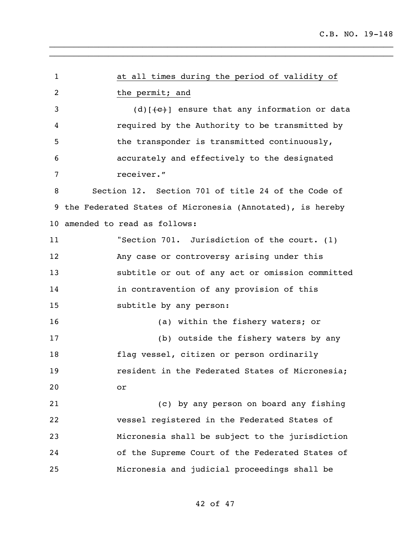at all times during the period of validity of the permit; and 3 (d) $\left[\frac{c}{c}\right]$  ensure that any information or data required by the Authority to be transmitted by the transponder is transmitted continuously, accurately and effectively to the designated receiver." Section 12. Section 701 of title 24 of the Code of the Federated States of Micronesia (Annotated), is hereby amended to read as follows: "Section 701. Jurisdiction of the court. (1) Any case or controversy arising under this subtitle or out of any act or omission committed in contravention of any provision of this subtitle by any person: (a) within the fishery waters; or (b) outside the fishery waters by any flag vessel, citizen or person ordinarily resident in the Federated States of Micronesia; or (c) by any person on board any fishing vessel registered in the Federated States of Micronesia shall be subject to the jurisdiction of the Supreme Court of the Federated States of Micronesia and judicial proceedings shall be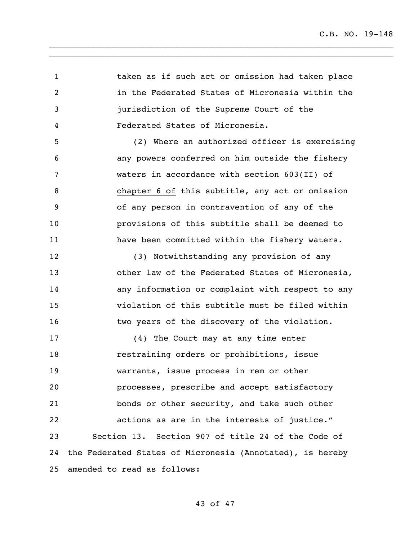taken as if such act or omission had taken place in the Federated States of Micronesia within the jurisdiction of the Supreme Court of the Federated States of Micronesia.

\_\_\_\_\_\_\_\_\_\_\_\_\_\_\_\_\_\_\_\_\_\_\_\_\_\_\_\_\_\_\_\_\_\_\_\_\_\_\_\_\_\_\_\_\_\_\_\_\_\_\_\_\_\_\_\_\_\_\_\_\_\_\_\_\_\_\_\_\_\_ \_\_\_\_\_\_\_\_\_\_\_\_\_\_\_\_\_\_\_\_\_\_\_\_\_\_\_\_\_\_\_\_\_\_\_\_\_\_\_\_\_\_\_\_\_\_\_\_\_\_\_\_\_\_\_\_\_\_\_\_\_\_\_\_\_\_\_\_\_\_

 (2) Where an authorized officer is exercising any powers conferred on him outside the fishery waters in accordance with section 603(II) of chapter 6 of this subtitle, any act or omission of any person in contravention of any of the provisions of this subtitle shall be deemed to have been committed within the fishery waters.

 (3) Notwithstanding any provision of any other law of the Federated States of Micronesia, any information or complaint with respect to any violation of this subtitle must be filed within **two years of the discovery of the violation.** 

 (4) The Court may at any time enter restraining orders or prohibitions, issue warrants, issue process in rem or other processes, prescribe and accept satisfactory bonds or other security, and take such other actions as are in the interests of justice." Section 13. Section 907 of title 24 of the Code of the Federated States of Micronesia (Annotated), is hereby amended to read as follows: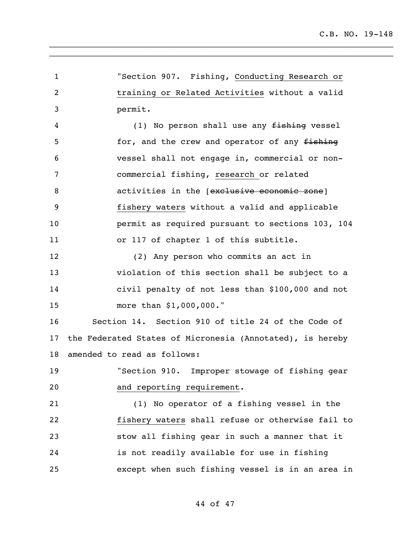"Section 907. Fishing, Conducting Research or training or Related Activities without a valid permit. 4 (1) No person shall use any fishing vessel 5 for, and the crew and operator of any fishing vessel shall not engage in, commercial or non- commercial fishing, research or related 8 activities in the [exclusive economic zone] fishery waters without a valid and applicable permit as required pursuant to sections 103, 104 or 117 of chapter 1 of this subtitle. (2) Any person who commits an act in violation of this section shall be subject to a civil penalty of not less than \$100,000 and not more than \$1,000,000." Section 14. Section 910 of title 24 of the Code of the Federated States of Micronesia (Annotated), is hereby amended to read as follows: "Section 910. Improper stowage of fishing gear and reporting requirement. (1) No operator of a fishing vessel in the fishery waters shall refuse or otherwise fail to stow all fishing gear in such a manner that it is not readily available for use in fishing except when such fishing vessel is in an area in

\_\_\_\_\_\_\_\_\_\_\_\_\_\_\_\_\_\_\_\_\_\_\_\_\_\_\_\_\_\_\_\_\_\_\_\_\_\_\_\_\_\_\_\_\_\_\_\_\_\_\_\_\_\_\_\_\_\_\_\_\_\_\_\_\_\_\_\_\_\_ \_\_\_\_\_\_\_\_\_\_\_\_\_\_\_\_\_\_\_\_\_\_\_\_\_\_\_\_\_\_\_\_\_\_\_\_\_\_\_\_\_\_\_\_\_\_\_\_\_\_\_\_\_\_\_\_\_\_\_\_\_\_\_\_\_\_\_\_\_\_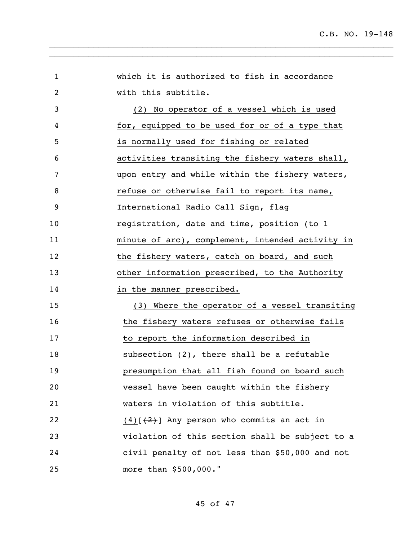| $\mathbf{1}$ | which it is authorized to fish in accordance     |
|--------------|--------------------------------------------------|
| 2            | with this subtitle.                              |
| 3            | (2) No operator of a vessel which is used        |
| 4            | for, equipped to be used for or of a type that   |
| 5            | is normally used for fishing or related          |
| 6            | activities transiting the fishery waters shall,  |
| 7            | upon entry and while within the fishery waters,  |
| 8            | refuse or otherwise fail to report its name,     |
| 9            | International Radio Call Sign, flag              |
| 10           | registration, date and time, position (to 1      |
| 11           | minute of arc), complement, intended activity in |
| 12           | the fishery waters, catch on board, and such     |
| 13           | other information prescribed, to the Authority   |
| 14           | in the manner prescribed.                        |
| 15           | (3) Where the operator of a vessel transiting    |
| 16           | the fishery waters refuses or otherwise fails    |
| 17           | to report the information described in           |
| 18           | subsection (2), there shall be a refutable       |
| 19           | presumption that all fish found on board such    |
| 20           | vessel have been caught within the fishery       |
| 21           | waters in violation of this subtitle.            |
| 22           | $(4)$ [ $(2)$ ] Any person who commits an act in |
| 23           | violation of this section shall be subject to a  |
| 24           | civil penalty of not less than \$50,000 and not  |
| 25           | more than \$500,000."                            |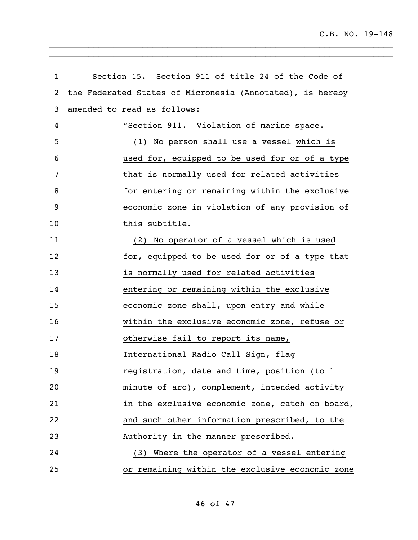| $\mathbf{1}$ | Section 15. Section 911 of title 24 of the Code of        |  |
|--------------|-----------------------------------------------------------|--|
| 2            | the Federated States of Micronesia (Annotated), is hereby |  |
| 3            | amended to read as follows:                               |  |
| 4            | "Section 911. Violation of marine space.                  |  |
| 5            | (1) No person shall use a vessel which is                 |  |
| 6            | used for, equipped to be used for or of a type            |  |
| 7            | that is normally used for related activities              |  |
| 8            | for entering or remaining within the exclusive            |  |
| 9            | economic zone in violation of any provision of            |  |
| 10           | this subtitle.                                            |  |
| 11           | (2) No operator of a vessel which is used                 |  |
| 12           | for, equipped to be used for or of a type that            |  |
| 13           | is normally used for related activities                   |  |
| 14           | entering or remaining within the exclusive                |  |
| 15           | economic zone shall, upon entry and while                 |  |
| 16           | within the exclusive economic zone, refuse or             |  |
| 17           | otherwise fail to report its name,                        |  |
| 18           | International Radio Call Sign, flag                       |  |
| 19           | registration, date and time, position (to 1               |  |
| 20           | minute of arc), complement, intended activity             |  |
| 21           | in the exclusive economic zone, catch on board,           |  |
| 22           | and such other information prescribed, to the             |  |
| 23           | Authority in the manner prescribed.                       |  |
| 24           | (3) Where the operator of a vessel entering               |  |
| 25           | or remaining within the exclusive economic zone           |  |